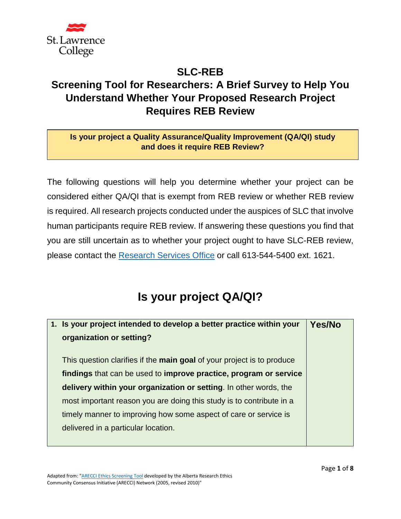

## **SLC-REB Screening Tool for Researchers: A Brief Survey to Help You Understand Whether Your Proposed Research Project Requires REB Review**

## **Is your project a Quality Assurance/Quality Improvement (QA/QI) study and does it require REB Review?**

The following questions will help you determine whether your project can be considered either QA/QI that is exempt from REB review or whether REB review is required. All research projects conducted under the auspices of SLC that involve human participants require REB review. If answering these questions you find that you are still uncertain as to whether your project ought to have SLC-REB review, please contact the [Research Services Office](mailto:reb@sl.on.ca) or call 613-544-5400 ext. 1621.

## **Is your project QA/QI?**

| 1. Is your project intended to develop a better practice within your   | Yes/No |
|------------------------------------------------------------------------|--------|
| organization or setting?                                               |        |
|                                                                        |        |
| This question clarifies if the main goal of your project is to produce |        |
| findings that can be used to improve practice, program or service      |        |
| delivery within your organization or setting. In other words, the      |        |
| most important reason you are doing this study is to contribute in a   |        |
| timely manner to improving how some aspect of care or service is       |        |
| delivered in a particular location.                                    |        |
|                                                                        |        |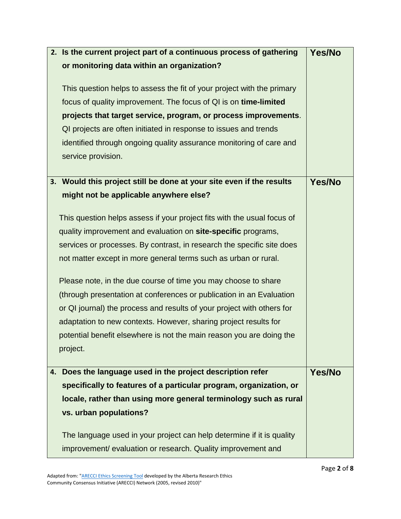| 2. Is the current project part of a continuous process of gathering     | Yes/No |
|-------------------------------------------------------------------------|--------|
| or monitoring data within an organization?                              |        |
| This question helps to assess the fit of your project with the primary  |        |
| focus of quality improvement. The focus of QI is on time-limited        |        |
| projects that target service, program, or process improvements.         |        |
| QI projects are often initiated in response to issues and trends        |        |
| identified through ongoing quality assurance monitoring of care and     |        |
|                                                                         |        |
| service provision.                                                      |        |
| 3. Would this project still be done at your site even if the results    | Yes/No |
| might not be applicable anywhere else?                                  |        |
|                                                                         |        |
| This question helps assess if your project fits with the usual focus of |        |
| quality improvement and evaluation on site-specific programs,           |        |
| services or processes. By contrast, in research the specific site does  |        |
| not matter except in more general terms such as urban or rural.         |        |
| Please note, in the due course of time you may choose to share          |        |
| (through presentation at conferences or publication in an Evaluation    |        |
| or QI journal) the process and results of your project with others for  |        |
| adaptation to new contexts. However, sharing project results for        |        |
| potential benefit elsewhere is not the main reason you are doing the    |        |
| project.                                                                |        |
|                                                                         |        |
| Does the language used in the project description refer<br>4.           | Yes/No |
| specifically to features of a particular program, organization, or      |        |
| locale, rather than using more general terminology such as rural        |        |
| vs. urban populations?                                                  |        |
| The language used in your project can help determine if it is quality   |        |
| improvement/ evaluation or research. Quality improvement and            |        |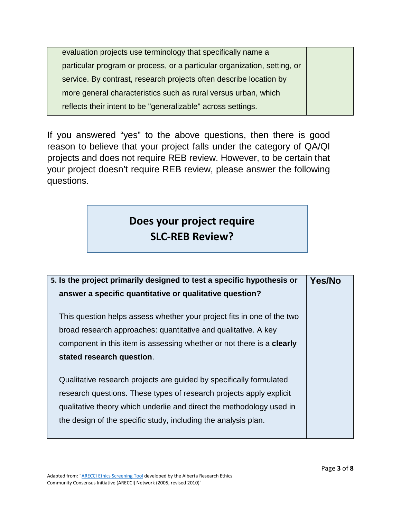evaluation projects use terminology that specifically name a particular program or process, or a particular organization, setting, or service. By contrast, research projects often describe location by more general characteristics such as rural versus urban, which reflects their intent to be "generalizable" across settings.

If you answered "yes" to the above questions, then there is good reason to believe that your project falls under the category of QA/QI projects and does not require REB review. However, to be certain that your project doesn't require REB review, please answer the following questions.

## **Does your project require SLC-REB Review?**

| 5. Is the project primarily designed to test a specific hypothesis or        | <b>Yes/No</b> |
|------------------------------------------------------------------------------|---------------|
| answer a specific quantitative or qualitative question?                      |               |
|                                                                              |               |
| This question helps assess whether your project fits in one of the two       |               |
| broad research approaches: quantitative and qualitative. A key               |               |
| component in this item is assessing whether or not there is a <b>clearly</b> |               |
| stated research question.                                                    |               |
|                                                                              |               |
| Qualitative research projects are guided by specifically formulated          |               |
| research questions. These types of research projects apply explicit          |               |
| qualitative theory which underlie and direct the methodology used in         |               |
| the design of the specific study, including the analysis plan.               |               |
|                                                                              |               |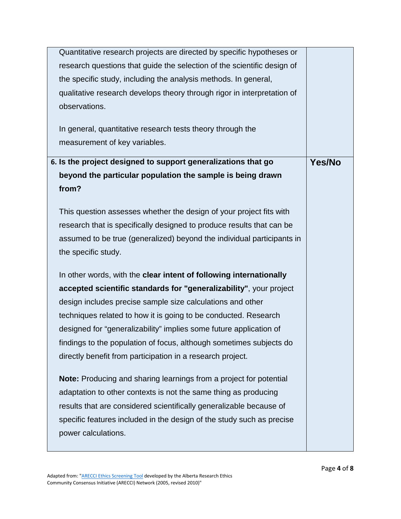| Quantitative research projects are directed by specific hypotheses or   |        |
|-------------------------------------------------------------------------|--------|
| research questions that guide the selection of the scientific design of |        |
| the specific study, including the analysis methods. In general,         |        |
| qualitative research develops theory through rigor in interpretation of |        |
| observations.                                                           |        |
|                                                                         |        |
| In general, quantitative research tests theory through the              |        |
| measurement of key variables.                                           |        |
| 6. Is the project designed to support generalizations that go           | Yes/No |
| beyond the particular population the sample is being drawn              |        |
| from?                                                                   |        |
|                                                                         |        |
| This question assesses whether the design of your project fits with     |        |
| research that is specifically designed to produce results that can be   |        |
| assumed to be true (generalized) beyond the individual participants in  |        |
| the specific study.                                                     |        |
| In other words, with the clear intent of following internationally      |        |
| accepted scientific standards for "generalizability", your project      |        |
| design includes precise sample size calculations and other              |        |
| techniques related to how it is going to be conducted. Research         |        |
| designed for "generalizability" implies some future application of      |        |
| findings to the population of focus, although sometimes subjects do     |        |
| directly benefit from participation in a research project.              |        |
| Note: Producing and sharing learnings from a project for potential      |        |
| adaptation to other contexts is not the same thing as producing         |        |
| results that are considered scientifically generalizable because of     |        |
| specific features included in the design of the study such as precise   |        |
| power calculations.                                                     |        |
|                                                                         |        |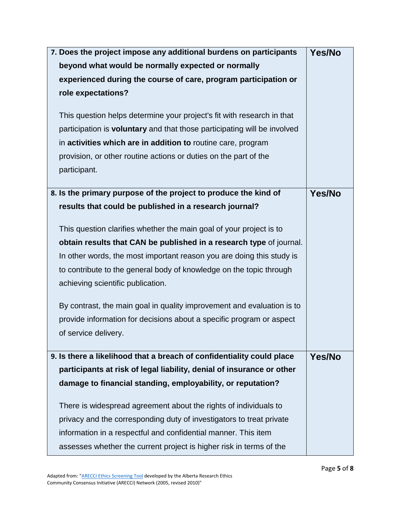| 7. Does the project impose any additional burdens on participants        | Yes/No        |
|--------------------------------------------------------------------------|---------------|
| beyond what would be normally expected or normally                       |               |
| experienced during the course of care, program participation or          |               |
| role expectations?                                                       |               |
|                                                                          |               |
| This question helps determine your project's fit with research in that   |               |
| participation is voluntary and that those participating will be involved |               |
| in activities which are in addition to routine care, program             |               |
| provision, or other routine actions or duties on the part of the         |               |
| participant.                                                             |               |
| 8. Is the primary purpose of the project to produce the kind of          | <b>Yes/No</b> |
|                                                                          |               |
| results that could be published in a research journal?                   |               |
| This question clarifies whether the main goal of your project is to      |               |
| obtain results that CAN be published in a research type of journal.      |               |
| In other words, the most important reason you are doing this study is    |               |
| to contribute to the general body of knowledge on the topic through      |               |
| achieving scientific publication.                                        |               |
| By contrast, the main goal in quality improvement and evaluation is to   |               |
| provide information for decisions about a specific program or aspect     |               |
| of service delivery.                                                     |               |
|                                                                          |               |
| 9. Is there a likelihood that a breach of confidentiality could place    | Yes/No        |
| participants at risk of legal liability, denial of insurance or other    |               |
| damage to financial standing, employability, or reputation?              |               |
| There is widespread agreement about the rights of individuals to         |               |
| privacy and the corresponding duty of investigators to treat private     |               |
| information in a respectful and confidential manner. This item           |               |
|                                                                          |               |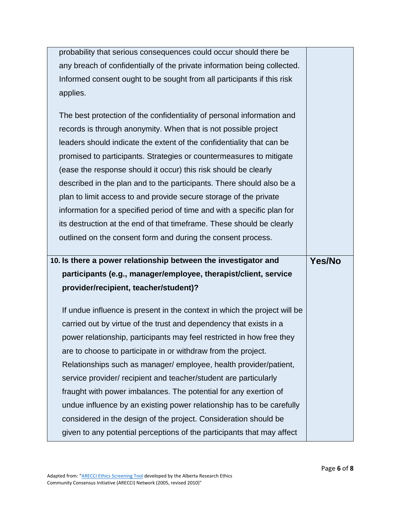| probability that serious consequences could occur should there be         |        |
|---------------------------------------------------------------------------|--------|
| any breach of confidentially of the private information being collected.  |        |
| Informed consent ought to be sought from all participants if this risk    |        |
| applies.                                                                  |        |
|                                                                           |        |
| The best protection of the confidentiality of personal information and    |        |
| records is through anonymity. When that is not possible project           |        |
| leaders should indicate the extent of the confidentiality that can be     |        |
| promised to participants. Strategies or countermeasures to mitigate       |        |
| (ease the response should it occur) this risk should be clearly           |        |
| described in the plan and to the participants. There should also be a     |        |
| plan to limit access to and provide secure storage of the private         |        |
| information for a specified period of time and with a specific plan for   |        |
| its destruction at the end of that timeframe. These should be clearly     |        |
| outlined on the consent form and during the consent process.              |        |
|                                                                           |        |
|                                                                           |        |
| 10. Is there a power relationship between the investigator and            | Yes/No |
| participants (e.g., manager/employee, therapist/client, service           |        |
| provider/recipient, teacher/student)?                                     |        |
| If undue influence is present in the context in which the project will be |        |
| carried out by virtue of the trust and dependency that exists in a        |        |
| power relationship, participants may feel restricted in how free they     |        |
| are to choose to participate in or withdraw from the project.             |        |
| Relationships such as manager/ employee, health provider/patient,         |        |
| service provider/ recipient and teacher/student are particularly          |        |
| fraught with power imbalances. The potential for any exertion of          |        |
| undue influence by an existing power relationship has to be carefully     |        |
| considered in the design of the project. Consideration should be          |        |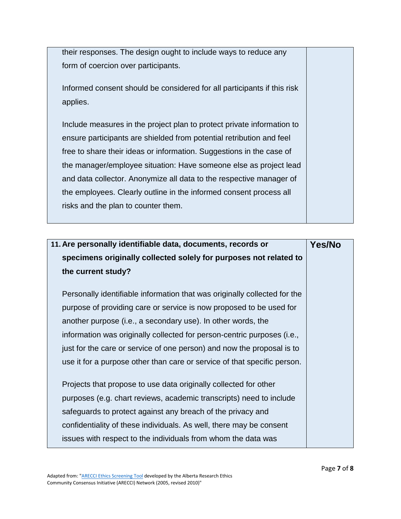their responses. The design ought to include ways to reduce any form of coercion over participants.

Informed consent should be considered for all participants if this risk applies.

Include measures in the project plan to protect private information to ensure participants are shielded from potential retribution and feel free to share their ideas or information. Suggestions in the case of the manager/employee situation: Have someone else as project lead and data collector. Anonymize all data to the respective manager of the employees. Clearly outline in the informed consent process all risks and the plan to counter them.

| 11. Are personally identifiable data, documents, records or               | <b>Yes/No</b> |
|---------------------------------------------------------------------------|---------------|
| specimens originally collected solely for purposes not related to         |               |
| the current study?                                                        |               |
| Personally identifiable information that was originally collected for the |               |
| purpose of providing care or service is now proposed to be used for       |               |
| another purpose (i.e., a secondary use). In other words, the              |               |
| information was originally collected for person-centric purposes (i.e.,   |               |
| just for the care or service of one person) and now the proposal is to    |               |
| use it for a purpose other than care or service of that specific person.  |               |
| Projects that propose to use data originally collected for other          |               |
| purposes (e.g. chart reviews, academic transcripts) need to include       |               |
| safeguards to protect against any breach of the privacy and               |               |
| confidentiality of these individuals. As well, there may be consent       |               |
| issues with respect to the individuals from whom the data was             |               |